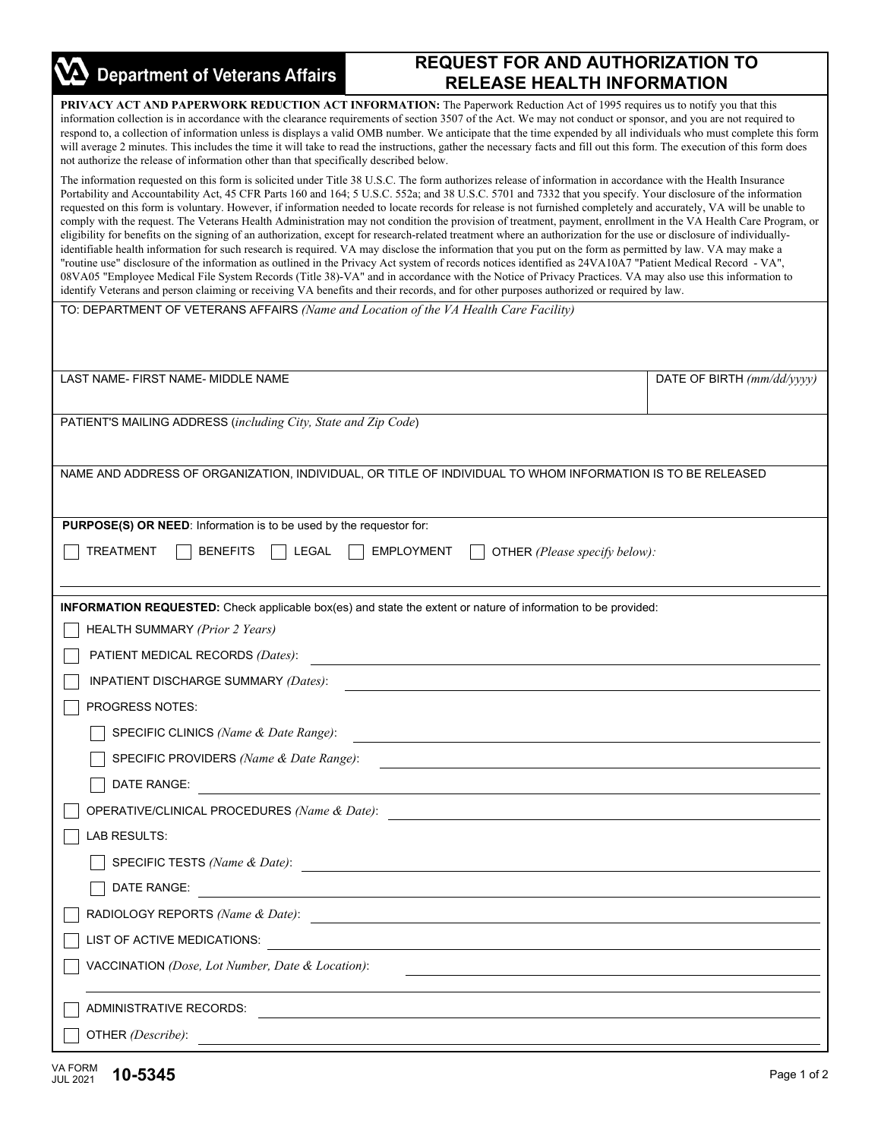| <b>Department of Veterans Affairs</b>                                                                                                                                                                                                                                                                                                                                                                                                                                                                                                                                                                                                                                                                                                      | <b>REQUEST FOR AND AUTHORIZATION TO</b><br><b>RELEASE HEALTH INFORMATION</b>                                                                                                                                                                                                                                                                                                                                                                                                                                                                                                                                                                                                                                                                                                                                                                                                                                                                                                                                                                                                                                                                                                                                                                                                                                                                                                                                                                                                     |                            |  |  |
|--------------------------------------------------------------------------------------------------------------------------------------------------------------------------------------------------------------------------------------------------------------------------------------------------------------------------------------------------------------------------------------------------------------------------------------------------------------------------------------------------------------------------------------------------------------------------------------------------------------------------------------------------------------------------------------------------------------------------------------------|----------------------------------------------------------------------------------------------------------------------------------------------------------------------------------------------------------------------------------------------------------------------------------------------------------------------------------------------------------------------------------------------------------------------------------------------------------------------------------------------------------------------------------------------------------------------------------------------------------------------------------------------------------------------------------------------------------------------------------------------------------------------------------------------------------------------------------------------------------------------------------------------------------------------------------------------------------------------------------------------------------------------------------------------------------------------------------------------------------------------------------------------------------------------------------------------------------------------------------------------------------------------------------------------------------------------------------------------------------------------------------------------------------------------------------------------------------------------------------|----------------------------|--|--|
| PRIVACY ACT AND PAPERWORK REDUCTION ACT INFORMATION: The Paperwork Reduction Act of 1995 requires us to notify you that this<br>information collection is in accordance with the clearance requirements of section 3507 of the Act. We may not conduct or sponsor, and you are not required to<br>respond to, a collection of information unless is displays a valid OMB number. We anticipate that the time expended by all individuals who must complete this form<br>will average 2 minutes. This includes the time it will take to read the instructions, gather the necessary facts and fill out this form. The execution of this form does<br>not authorize the release of information other than that specifically described below. |                                                                                                                                                                                                                                                                                                                                                                                                                                                                                                                                                                                                                                                                                                                                                                                                                                                                                                                                                                                                                                                                                                                                                                                                                                                                                                                                                                                                                                                                                  |                            |  |  |
|                                                                                                                                                                                                                                                                                                                                                                                                                                                                                                                                                                                                                                                                                                                                            | The information requested on this form is solicited under Title 38 U.S.C. The form authorizes release of information in accordance with the Health Insurance<br>Portability and Accountability Act, 45 CFR Parts 160 and 164; 5 U.S.C. 552a; and 38 U.S.C. 5701 and 7332 that you specify. Your disclosure of the information<br>requested on this form is voluntary. However, if information needed to locate records for release is not furnished completely and accurately, VA will be unable to<br>comply with the request. The Veterans Health Administration may not condition the provision of treatment, payment, enrollment in the VA Health Care Program, or<br>eligibility for benefits on the signing of an authorization, except for research-related treatment where an authorization for the use or disclosure of individually-<br>identifiable health information for such research is required. VA may disclose the information that you put on the form as permitted by law. VA may make a<br>"routine use" disclosure of the information as outlined in the Privacy Act system of records notices identified as 24VA10A7 "Patient Medical Record - VA",<br>08VA05 "Employee Medical File System Records (Title 38)-VA" and in accordance with the Notice of Privacy Practices. VA may also use this information to<br>identify Veterans and person claiming or receiving VA benefits and their records, and for other purposes authorized or required by law. |                            |  |  |
| TO: DEPARTMENT OF VETERANS AFFAIRS (Name and Location of the VA Health Care Facility)                                                                                                                                                                                                                                                                                                                                                                                                                                                                                                                                                                                                                                                      |                                                                                                                                                                                                                                                                                                                                                                                                                                                                                                                                                                                                                                                                                                                                                                                                                                                                                                                                                                                                                                                                                                                                                                                                                                                                                                                                                                                                                                                                                  |                            |  |  |
| LAST NAME- FIRST NAME- MIDDLE NAME                                                                                                                                                                                                                                                                                                                                                                                                                                                                                                                                                                                                                                                                                                         |                                                                                                                                                                                                                                                                                                                                                                                                                                                                                                                                                                                                                                                                                                                                                                                                                                                                                                                                                                                                                                                                                                                                                                                                                                                                                                                                                                                                                                                                                  | DATE OF BIRTH (mm/dd/yyyy) |  |  |
|                                                                                                                                                                                                                                                                                                                                                                                                                                                                                                                                                                                                                                                                                                                                            |                                                                                                                                                                                                                                                                                                                                                                                                                                                                                                                                                                                                                                                                                                                                                                                                                                                                                                                                                                                                                                                                                                                                                                                                                                                                                                                                                                                                                                                                                  |                            |  |  |
| PATIENT'S MAILING ADDRESS (including City, State and Zip Code)                                                                                                                                                                                                                                                                                                                                                                                                                                                                                                                                                                                                                                                                             |                                                                                                                                                                                                                                                                                                                                                                                                                                                                                                                                                                                                                                                                                                                                                                                                                                                                                                                                                                                                                                                                                                                                                                                                                                                                                                                                                                                                                                                                                  |                            |  |  |
| NAME AND ADDRESS OF ORGANIZATION, INDIVIDUAL, OR TITLE OF INDIVIDUAL TO WHOM INFORMATION IS TO BE RELEASED                                                                                                                                                                                                                                                                                                                                                                                                                                                                                                                                                                                                                                 |                                                                                                                                                                                                                                                                                                                                                                                                                                                                                                                                                                                                                                                                                                                                                                                                                                                                                                                                                                                                                                                                                                                                                                                                                                                                                                                                                                                                                                                                                  |                            |  |  |
| PURPOSE(S) OR NEED: Information is to be used by the requestor for:                                                                                                                                                                                                                                                                                                                                                                                                                                                                                                                                                                                                                                                                        |                                                                                                                                                                                                                                                                                                                                                                                                                                                                                                                                                                                                                                                                                                                                                                                                                                                                                                                                                                                                                                                                                                                                                                                                                                                                                                                                                                                                                                                                                  |                            |  |  |
| TREATMENT<br><b>BENEFITS</b><br><b>LEGAL</b>                                                                                                                                                                                                                                                                                                                                                                                                                                                                                                                                                                                                                                                                                               | <b>EMPLOYMENT</b><br>OTHER (Please specify below):                                                                                                                                                                                                                                                                                                                                                                                                                                                                                                                                                                                                                                                                                                                                                                                                                                                                                                                                                                                                                                                                                                                                                                                                                                                                                                                                                                                                                               |                            |  |  |
|                                                                                                                                                                                                                                                                                                                                                                                                                                                                                                                                                                                                                                                                                                                                            | <b>INFORMATION REQUESTED:</b> Check applicable box(es) and state the extent or nature of information to be provided:                                                                                                                                                                                                                                                                                                                                                                                                                                                                                                                                                                                                                                                                                                                                                                                                                                                                                                                                                                                                                                                                                                                                                                                                                                                                                                                                                             |                            |  |  |
| <b>HEALTH SUMMARY (Prior 2 Years)</b>                                                                                                                                                                                                                                                                                                                                                                                                                                                                                                                                                                                                                                                                                                      |                                                                                                                                                                                                                                                                                                                                                                                                                                                                                                                                                                                                                                                                                                                                                                                                                                                                                                                                                                                                                                                                                                                                                                                                                                                                                                                                                                                                                                                                                  |                            |  |  |
| PATIENT MEDICAL RECORDS (Dates):                                                                                                                                                                                                                                                                                                                                                                                                                                                                                                                                                                                                                                                                                                           |                                                                                                                                                                                                                                                                                                                                                                                                                                                                                                                                                                                                                                                                                                                                                                                                                                                                                                                                                                                                                                                                                                                                                                                                                                                                                                                                                                                                                                                                                  |                            |  |  |
| INPATIENT DISCHARGE SUMMARY (Dates):                                                                                                                                                                                                                                                                                                                                                                                                                                                                                                                                                                                                                                                                                                       |                                                                                                                                                                                                                                                                                                                                                                                                                                                                                                                                                                                                                                                                                                                                                                                                                                                                                                                                                                                                                                                                                                                                                                                                                                                                                                                                                                                                                                                                                  |                            |  |  |
| PROGRESS NOTES:                                                                                                                                                                                                                                                                                                                                                                                                                                                                                                                                                                                                                                                                                                                            |                                                                                                                                                                                                                                                                                                                                                                                                                                                                                                                                                                                                                                                                                                                                                                                                                                                                                                                                                                                                                                                                                                                                                                                                                                                                                                                                                                                                                                                                                  |                            |  |  |
| SPECIFIC CLINICS (Name & Date Range):                                                                                                                                                                                                                                                                                                                                                                                                                                                                                                                                                                                                                                                                                                      | <u> 1989 - Jan Sterling von de Berling von de Berling von de Berling von de Berling von de Berling von de Berlin</u>                                                                                                                                                                                                                                                                                                                                                                                                                                                                                                                                                                                                                                                                                                                                                                                                                                                                                                                                                                                                                                                                                                                                                                                                                                                                                                                                                             |                            |  |  |
| SPECIFIC PROVIDERS (Name & Date Range):                                                                                                                                                                                                                                                                                                                                                                                                                                                                                                                                                                                                                                                                                                    |                                                                                                                                                                                                                                                                                                                                                                                                                                                                                                                                                                                                                                                                                                                                                                                                                                                                                                                                                                                                                                                                                                                                                                                                                                                                                                                                                                                                                                                                                  |                            |  |  |
| DATE RANGE:                                                                                                                                                                                                                                                                                                                                                                                                                                                                                                                                                                                                                                                                                                                                | <u> 1980 - Jan Stein Stein Stein Stein Stein Stein Stein Stein Stein Stein Stein Stein Stein Stein Stein Stein S</u>                                                                                                                                                                                                                                                                                                                                                                                                                                                                                                                                                                                                                                                                                                                                                                                                                                                                                                                                                                                                                                                                                                                                                                                                                                                                                                                                                             |                            |  |  |
|                                                                                                                                                                                                                                                                                                                                                                                                                                                                                                                                                                                                                                                                                                                                            | OPERATIVE/CLINICAL PROCEDURES (Name & Date):                                                                                                                                                                                                                                                                                                                                                                                                                                                                                                                                                                                                                                                                                                                                                                                                                                                                                                                                                                                                                                                                                                                                                                                                                                                                                                                                                                                                                                     |                            |  |  |
| LAB RESULTS:                                                                                                                                                                                                                                                                                                                                                                                                                                                                                                                                                                                                                                                                                                                               |                                                                                                                                                                                                                                                                                                                                                                                                                                                                                                                                                                                                                                                                                                                                                                                                                                                                                                                                                                                                                                                                                                                                                                                                                                                                                                                                                                                                                                                                                  |                            |  |  |
|                                                                                                                                                                                                                                                                                                                                                                                                                                                                                                                                                                                                                                                                                                                                            | SPECIFIC TESTS (Name & Date):                                                                                                                                                                                                                                                                                                                                                                                                                                                                                                                                                                                                                                                                                                                                                                                                                                                                                                                                                                                                                                                                                                                                                                                                                                                                                                                                                                                                                                                    |                            |  |  |
| DATE RANGE:                                                                                                                                                                                                                                                                                                                                                                                                                                                                                                                                                                                                                                                                                                                                | <u> 1980 - Johann Stein, marwolaethau a bhann an t-Amhair an t-Amhair an t-Amhair an t-Amhair an t-Amhair an t-A</u>                                                                                                                                                                                                                                                                                                                                                                                                                                                                                                                                                                                                                                                                                                                                                                                                                                                                                                                                                                                                                                                                                                                                                                                                                                                                                                                                                             |                            |  |  |
|                                                                                                                                                                                                                                                                                                                                                                                                                                                                                                                                                                                                                                                                                                                                            | RADIOLOGY REPORTS (Name & Date):                                                                                                                                                                                                                                                                                                                                                                                                                                                                                                                                                                                                                                                                                                                                                                                                                                                                                                                                                                                                                                                                                                                                                                                                                                                                                                                                                                                                                                                 |                            |  |  |
| LIST OF ACTIVE MEDICATIONS:                                                                                                                                                                                                                                                                                                                                                                                                                                                                                                                                                                                                                                                                                                                | <u>and the state of the state of the state of the state of the state of the state of the state of the state of th</u>                                                                                                                                                                                                                                                                                                                                                                                                                                                                                                                                                                                                                                                                                                                                                                                                                                                                                                                                                                                                                                                                                                                                                                                                                                                                                                                                                            |                            |  |  |
| VACCINATION (Dose, Lot Number, Date & Location):                                                                                                                                                                                                                                                                                                                                                                                                                                                                                                                                                                                                                                                                                           |                                                                                                                                                                                                                                                                                                                                                                                                                                                                                                                                                                                                                                                                                                                                                                                                                                                                                                                                                                                                                                                                                                                                                                                                                                                                                                                                                                                                                                                                                  |                            |  |  |
| ADMINISTRATIVE RECORDS:                                                                                                                                                                                                                                                                                                                                                                                                                                                                                                                                                                                                                                                                                                                    |                                                                                                                                                                                                                                                                                                                                                                                                                                                                                                                                                                                                                                                                                                                                                                                                                                                                                                                                                                                                                                                                                                                                                                                                                                                                                                                                                                                                                                                                                  |                            |  |  |
| OTHER (Describe):                                                                                                                                                                                                                                                                                                                                                                                                                                                                                                                                                                                                                                                                                                                          |                                                                                                                                                                                                                                                                                                                                                                                                                                                                                                                                                                                                                                                                                                                                                                                                                                                                                                                                                                                                                                                                                                                                                                                                                                                                                                                                                                                                                                                                                  |                            |  |  |